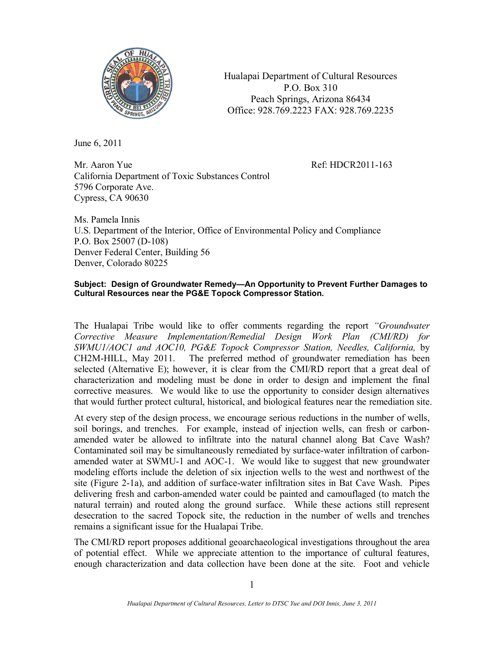

Hualapai Department of Cultural Resources P.O. Box 310 Peach Springs, Arizona 86434 Office: 928.769.2223 FAX: 928.769.2235

June 6, 2011

Mr. Aaron Yue Ref: HDCR2011-163 California Department of Toxic Substances Control 5796 Corporate Ave. Cypress, CA 90630

Ms. Pamela Innis U.S. Department of the Interior, Office of Environmental Policy and Compliance P.O. Box 25007 (D-108) Denver Federal Center, Building 56 Denver, Colorado 80225

## **Subject: Design of Groundwater Remedy—An Opportunity to Prevent Further Damages to Cultural Resources near the PG&E Topock Compressor Station.**

The Hualapai Tribe would like to offer comments regarding the report *"Groundwater Corrective Measure Implementation/Remedial Design Work Plan (CMI/RD) for SWMU1/AOC1 and AOC10, PG&E Topock Compressor Station, Needles, California,* by CH2M-HILL, May 2011. The preferred method of groundwater remediation has been selected (Alternative E); however, it is clear from the CMI/RD report that a great deal of characterization and modeling must be done in order to design and implement the final corrective measures. We would like to use the opportunity to consider design alternatives that would further protect cultural, historical, and biological features near the remediation site.

At every step of the design process, we encourage serious reductions in the number of wells, soil borings, and trenches. For example, instead of injection wells, can fresh or carbonamended water be allowed to infiltrate into the natural channel along Bat Cave Wash? Contaminated soil may be simultaneously remediated by surface-water infiltration of carbonamended water at SWMU-1 and AOC-1. We would like to suggest that new groundwater modeling efforts include the deletion of six injection wells to the west and northwest of the site (Figure 2-1a), and addition of surface-water infiltration sites in Bat Cave Wash. Pipes delivering fresh and carbon-amended water could be painted and camouflaged (to match the natural terrain) and routed along the ground surface. While these actions still represent desecration to the sacred Topock site, the reduction in the number of wells and trenches remains a significant issue for the Hualapai Tribe.

The CMI/RD report proposes additional geoarchaeological investigations throughout the area of potential effect. While we appreciate attention to the importance of cultural features, enough characterization and data collection have been done at the site. Foot and vehicle